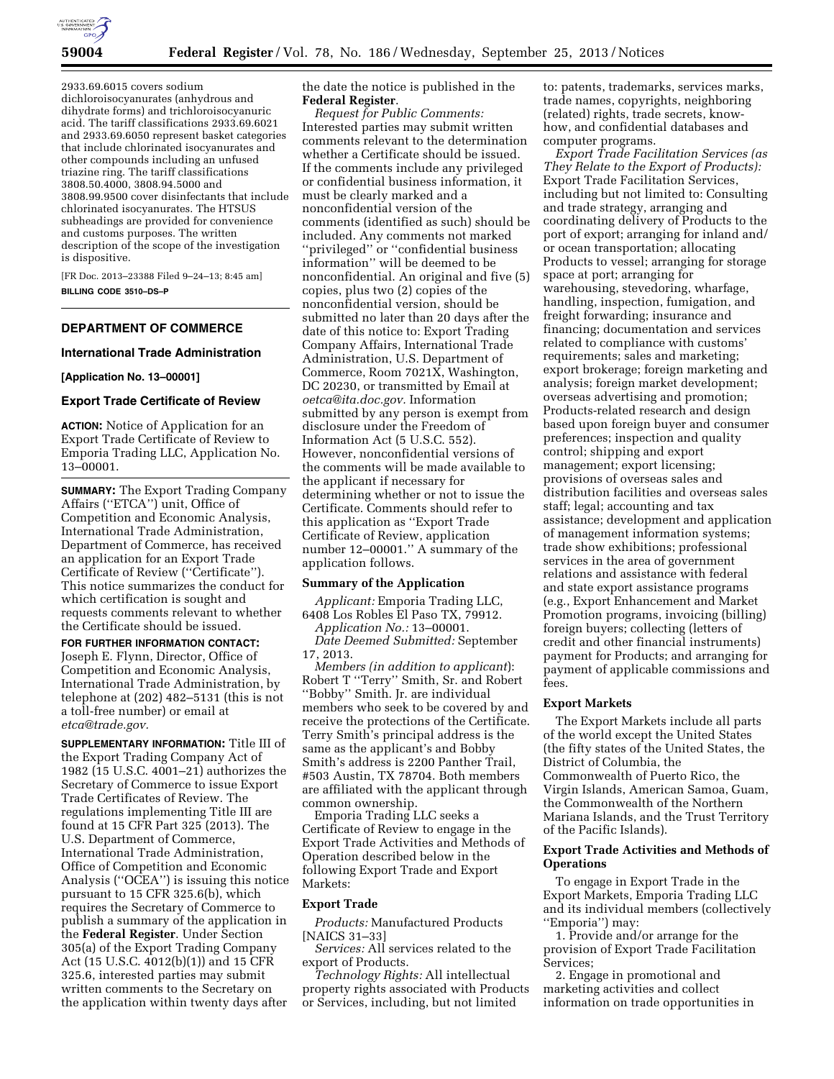

2933.69.6015 covers sodium dichloroisocyanurates (anhydrous and dihydrate forms) and trichloroisocyanuric acid. The tariff classifications 2933.69.6021 and 2933.69.6050 represent basket categories that include chlorinated isocyanurates and other compounds including an unfused triazine ring. The tariff classifications 3808.50.4000, 3808.94.5000 and 3808.99.9500 cover disinfectants that include chlorinated isocyanurates. The HTSUS subheadings are provided for convenience and customs purposes. The written description of the scope of the investigation is dispositive.

[FR Doc. 2013–23388 Filed 9–24–13; 8:45 am] **BILLING CODE 3510–DS–P** 

# **DEPARTMENT OF COMMERCE**

#### **International Trade Administration**

### **[Application No. 13–00001]**

### **Export Trade Certificate of Review**

**ACTION:** Notice of Application for an Export Trade Certificate of Review to Emporia Trading LLC, Application No. 13–00001.

**SUMMARY:** The Export Trading Company Affairs (''ETCA'') unit, Office of Competition and Economic Analysis, International Trade Administration, Department of Commerce, has received an application for an Export Trade Certificate of Review (''Certificate''). This notice summarizes the conduct for which certification is sought and requests comments relevant to whether the Certificate should be issued.

**FOR FURTHER INFORMATION CONTACT:** 

Joseph E. Flynn, Director, Office of Competition and Economic Analysis, International Trade Administration, by telephone at (202) 482–5131 (this is not a toll-free number) or email at *[etca@trade.gov.](mailto:etca@trade.gov)* 

**SUPPLEMENTARY INFORMATION:** Title III of the Export Trading Company Act of 1982 (15 U.S.C. 4001–21) authorizes the Secretary of Commerce to issue Export Trade Certificates of Review. The regulations implementing Title III are found at 15 CFR Part 325 (2013). The U.S. Department of Commerce, International Trade Administration, Office of Competition and Economic Analysis (''OCEA'') is issuing this notice pursuant to 15 CFR 325.6(b), which requires the Secretary of Commerce to publish a summary of the application in the **Federal Register**. Under Section 305(a) of the Export Trading Company Act (15 U.S.C. 4012(b)(1)) and 15 CFR 325.6, interested parties may submit written comments to the Secretary on the application within twenty days after

the date the notice is published in the **Federal Register**.

*Request for Public Comments:*  Interested parties may submit written comments relevant to the determination whether a Certificate should be issued. If the comments include any privileged or confidential business information, it must be clearly marked and a nonconfidential version of the comments (identified as such) should be included. Any comments not marked ''privileged'' or ''confidential business information'' will be deemed to be nonconfidential. An original and five (5) copies, plus two (2) copies of the nonconfidential version, should be submitted no later than 20 days after the date of this notice to: Export Trading Company Affairs, International Trade Administration, U.S. Department of Commerce, Room 7021X, Washington, DC 20230, or transmitted by Email at *[oetca@ita.doc.gov.](mailto:oetca@ita.doc.gov)* Information submitted by any person is exempt from disclosure under the Freedom of Information Act (5 U.S.C. 552). However, nonconfidential versions of the comments will be made available to the applicant if necessary for determining whether or not to issue the Certificate. Comments should refer to this application as ''Export Trade Certificate of Review, application number 12–00001.'' A summary of the application follows.

# **Summary of the Application**

*Applicant:* Emporia Trading LLC, 6408 Los Robles El Paso TX, 79912.

*Application No.:* 13–00001. *Date Deemed Submitted:* September 17, 2013.

*Members (in addition to applicant*): Robert T ''Terry'' Smith, Sr. and Robert ''Bobby'' Smith. Jr. are individual members who seek to be covered by and receive the protections of the Certificate. Terry Smith's principal address is the same as the applicant's and Bobby Smith's address is 2200 Panther Trail, #503 Austin, TX 78704. Both members are affiliated with the applicant through common ownership.

Emporia Trading LLC seeks a Certificate of Review to engage in the Export Trade Activities and Methods of Operation described below in the following Export Trade and Export Markets:

# **Export Trade**

*Products:* Manufactured Products [NAICS 31–33]

*Services:* All services related to the export of Products.

*Technology Rights:* All intellectual property rights associated with Products or Services, including, but not limited

to: patents, trademarks, services marks, trade names, copyrights, neighboring (related) rights, trade secrets, knowhow, and confidential databases and computer programs.

*Export Trade Facilitation Services (as They Relate to the Export of Products):*  Export Trade Facilitation Services, including but not limited to: Consulting and trade strategy, arranging and coordinating delivery of Products to the port of export; arranging for inland and/ or ocean transportation; allocating Products to vessel; arranging for storage space at port; arranging for warehousing, stevedoring, wharfage, handling, inspection, fumigation, and freight forwarding; insurance and financing; documentation and services related to compliance with customs' requirements; sales and marketing; export brokerage; foreign marketing and analysis; foreign market development; overseas advertising and promotion; Products-related research and design based upon foreign buyer and consumer preferences; inspection and quality control; shipping and export management; export licensing; provisions of overseas sales and distribution facilities and overseas sales staff; legal; accounting and tax assistance; development and application of management information systems; trade show exhibitions; professional services in the area of government relations and assistance with federal and state export assistance programs (e.g., Export Enhancement and Market Promotion programs, invoicing (billing) foreign buyers; collecting (letters of credit and other financial instruments) payment for Products; and arranging for payment of applicable commissions and fees.

# **Export Markets**

The Export Markets include all parts of the world except the United States (the fifty states of the United States, the District of Columbia, the Commonwealth of Puerto Rico, the Virgin Islands, American Samoa, Guam, the Commonwealth of the Northern Mariana Islands, and the Trust Territory of the Pacific Islands).

# **Export Trade Activities and Methods of Operations**

To engage in Export Trade in the Export Markets, Emporia Trading LLC and its individual members (collectively ''Emporia'') may:

1. Provide and/or arrange for the provision of Export Trade Facilitation Services;

2. Engage in promotional and marketing activities and collect information on trade opportunities in